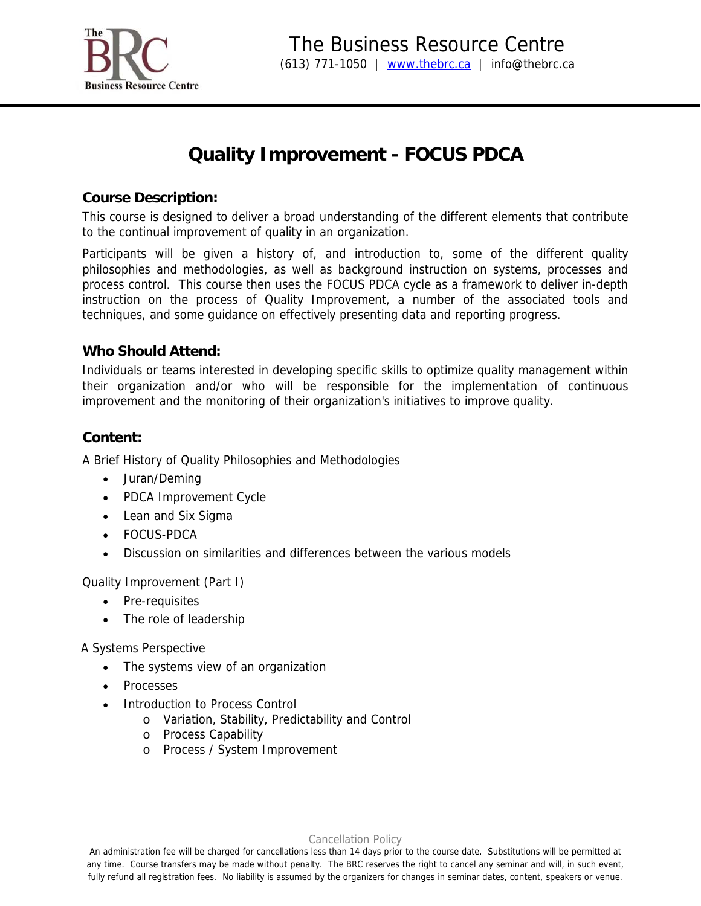

# **Quality Improvement - FOCUS PDCA**

## **Course Description:**

This course is designed to deliver a broad understanding of the different elements that contribute to the continual improvement of quality in an organization.

Participants will be given a history of, and introduction to, some of the different quality philosophies and methodologies, as well as background instruction on systems, processes and process control. This course then uses the FOCUS PDCA cycle as a framework to deliver in-depth instruction on the process of Quality Improvement, a number of the associated tools and techniques, and some guidance on effectively presenting data and reporting progress.

## **Who Should Attend:**

Individuals or teams interested in developing specific skills to optimize quality management within their organization and/or who will be responsible for the implementation of continuous improvement and the monitoring of their organization's initiatives to improve quality.

## **Content:**

A Brief History of Quality Philosophies and Methodologies

- Juran/Deming
- PDCA Improvement Cycle
- Lean and Six Sigma
- FOCUS-PDCA
- Discussion on similarities and differences between the various models

Quality Improvement (Part I)

- Pre-requisites
- The role of leadership

A Systems Perspective

- The systems view of an organization
- **Processes**
- Introduction to Process Control
	- o Variation, Stability, Predictability and Control
	- o Process Capability
	- o Process / System Improvement

#### Cancellation Policy

An administration fee will be charged for cancellations less than 14 days prior to the course date. Substitutions will be permitted at any time. Course transfers may be made without penalty. The BRC reserves the right to cancel any seminar and will, in such event, fully refund all registration fees. No liability is assumed by the organizers for changes in seminar dates, content, speakers or venue.